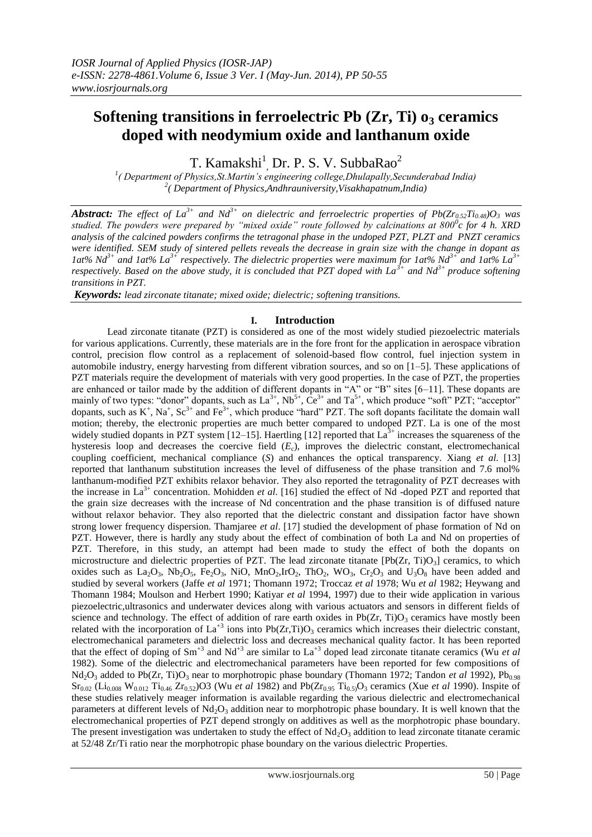# **Softening transitions in ferroelectric Pb (Zr, Ti)**  $o_3$  **ceramics doped with neodymium oxide and lanthanum oxide**

T. Kamakshi $^1$ <sub>,</sub> Dr. P. S. V. SubbaRao<sup>2</sup>

*1 ( Department of Physics,St.Martin's engineering college,Dhulapally,Secunderabad India) 2 ( Department of Physics,Andhrauniversity,Visakhapatnum,India)*

*Abstract: The effect of La***<sup>3+</sup> and Nd<sup>3+</sup> on dielectric and ferroelectric properties of**  $Pb(Zr_{0.52}Ti_{0.48})O_3$  **was** *studied. The powders were prepared by "mixed oxide" route followed by calcinations at 800<sup>0</sup> c for 4 h. XRD analysis of the calcined powders confirms the tetragonal phase in the undoped PZT, PLZT and PNZT ceramics were identified. SEM study of sintered pellets reveals the decrease in grain size with the change in dopant as 1at% Nd3+ and 1at% La3+ respectively. The dielectric properties were maximum for 1at% Nd3+ and 1at% La3+ respectively. Based on the above study, it is concluded that PZT doped with La3+ and Nd3+ produce softening transitions in PZT.*

*Keywords: lead zirconate titanate; mixed oxide; dielectric; softening transitions.*

## **I. Introduction**

Lead zirconate titanate (PZT) is considered as one of the most widely studied piezoelectric materials for various applications. Currently, these materials are in the fore front for the application in aerospace vibration control, precision flow control as a replacement of solenoid-based flow control, fuel injection system in automobile industry, energy harvesting from different vibration sources, and so on [1–5]. These applications of PZT materials require the development of materials with very good properties. In the case of PZT, the properties are enhanced or tailor made by the addition of different dopants in "A" or "B" sites  $[6-11]$ . These dopants are mainly of two types: "donor" dopants, such as  $La^{3+}$ ,  $Nb^{5+}$ ,  $Ce^{3+}$  and  $Ta^{5+}$ , which produce "soft" PZT; "acceptor" dopants, such as  $K^+$ , Na<sup>+</sup>, Sc<sup>3+</sup> and Fe<sup>3+</sup>, which produce "hard" PZT. The soft dopants facilitate the domain wall motion; thereby, the electronic properties are much better compared to undoped PZT. La is one of the most widely studied dopants in PZT system [12–15]. Haertling [12] reported that  $La^{3+}$  increases the squareness of the hysteresis loop and decreases the coercive field (*E*c), improves the dielectric constant, electromechanical coupling coefficient, mechanical compliance (*S*) and enhances the optical transparency. Xiang *et al*. [13] reported that lanthanum substitution increases the level of diffuseness of the phase transition and 7.6 mol% lanthanum-modified PZT exhibits relaxor behavior. They also reported the tetragonality of PZT decreases with the increase in La3+ concentration. Mohidden *et al*. [16] studied the effect of Nd -doped PZT and reported that the grain size decreases with the increase of Nd concentration and the phase transition is of diffused nature without relaxor behavior. They also reported that the dielectric constant and dissipation factor have shown strong lower frequency dispersion. Thamjaree *et al*. [17] studied the development of phase formation of Nd on PZT. However, there is hardly any study about the effect of combination of both La and Nd on properties of PZT. Therefore, in this study, an attempt had been made to study the effect of both the dopants on microstructure and dielectric properties of PZT. The lead zirconate titanate  $[Pb(Zr, Ti)O<sub>3</sub>]$  ceramics, to which oxides such as  $La_2O_3$ , Nb<sub>2</sub>O<sub>5</sub>, Fe<sub>2</sub>O<sub>3</sub>, NiO, MnO<sub>2</sub>, IrO<sub>2</sub>, ThO<sub>2</sub>, WO<sub>3</sub>, Cr<sub>2</sub>O<sub>3</sub> and U<sub>3</sub>O<sub>8</sub> have been added and studied by several workers (Jaffe *et al* 1971; Thomann 1972; Troccaz *et al* 1978; Wu *et al* 1982; Heywang and Thomann 1984; Moulson and Herbert 1990; Katiyar *et al* 1994, 1997) due to their wide application in various piezoelectric,ultrasonics and underwater devices along with various actuators and sensors in different fields of science and technology. The effect of addition of rare earth oxides in  $Pb(Zr, Ti)O<sub>3</sub>$  ceramics have mostly been related with the incorporation of  $La^{+3}$  ions into  $Pb(Zr,Ti)O_3$  ceramics which increases their dielectric constant, electromechanical parameters and dielectric loss and decreases mechanical quality factor. It has been reported that the effect of doping of  $Sm^{+3}$  and  $Nd^{+3}$  are similar to  $La^{+3}$  doped lead zirconate titanate ceramics (Wu *et al* 1982). Some of the dielectric and electromechanical parameters have been reported for few compositions of  $Nd<sub>2</sub>O<sub>3</sub>$  added to Pb(Zr, Ti)O<sub>3</sub> near to morphotropic phase boundary (Thomann 1972; Tandon *et al* 1992), Pb<sub>0.98</sub> Sr0.02 (Li0.008 W0.012 Ti0.46 Zr0.52)O3 (Wu *et al* 1982) and Pb(Zr0.95 Ti0.5)O<sup>3</sup> ceramics (Xue *et al* 1990). Inspite of these studies relatively meager information is available regarding the various dielectric and electromechanical parameters at different levels of  $Nd_2O_3$  addition near to morphotropic phase boundary. It is well known that the electromechanical properties of PZT depend strongly on additives as well as the morphotropic phase boundary. The present investigation was undertaken to study the effect of  $Nd<sub>2</sub>O<sub>3</sub>$  addition to lead zirconate titanate ceramic at 52/48 Zr/Ti ratio near the morphotropic phase boundary on the various dielectric Properties.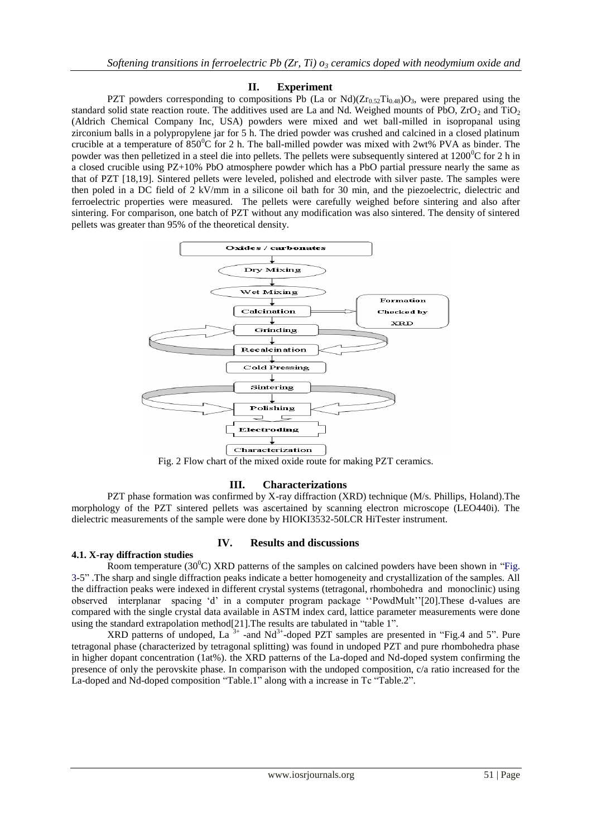## **II. Experiment**

PZT powders corresponding to compositions Pb (La or Nd)( $Zr_{0.52}Ti_{0.48}O_3$ , were prepared using the standard solid state reaction route. The additives used are La and Nd. Weighed mounts of PbO,  $ZrO<sub>2</sub>$  and TiO<sub>2</sub> (Aldrich Chemical Company Inc, USA) powders were mixed and wet ball-milled in isopropanal using zirconium balls in a polypropylene jar for 5 h. The dried powder was crushed and calcined in a closed platinum crucible at a temperature of  $850^{\circ}$ C for 2 h. The ball-milled powder was mixed with 2wt% PVA as binder. The powder was then pelletized in a steel die into pellets. The pellets were subsequently sintered at 1200<sup>o</sup>C for 2 h in a closed crucible using PZ+10% PbO atmosphere powder which has a PbO partial pressure nearly the same as that of PZT [18,19]. Sintered pellets were leveled, polished and electrode with silver paste. The samples were then poled in a DC field of 2 kV/mm in a silicone oil bath for 30 min, and the piezoelectric, dielectric and ferroelectric properties were measured. The pellets were carefully weighed before sintering and also after sintering. For comparison, one batch of PZT without any modification was also sintered. The density of sintered pellets was greater than 95% of the theoretical density.



Fig. 2 Flow chart of the mixed oxide route for making PZT ceramics.

## **III. Characterizations**

PZT phase formation was confirmed by X-ray diffraction (XRD) technique (M/s. Phillips, Holand).The morphology of the PZT sintered pellets was ascertained by scanning electron microscope (LEO440i). The dielectric measurements of the sample were done by HIOKI3532-50LCR HiTester instrument.

## **IV. Results and discussions**

## **4.1. X-ray diffraction studies**

Room temperature ( $30^0$ C) XRD patterns of the samples on calcined powders have been shown in "Fig. 3-5‖ .The sharp and single diffraction peaks indicate a better homogeneity and crystallization of the samples. All the diffraction peaks were indexed in different crystal systems (tetragonal, rhombohedra and monoclinic) using observed interplanar spacing 'd' in a computer program package "PowdMult"[20]. These d-values are compared with the single crystal data available in ASTM index card, lattice parameter measurements were done using the standard extrapolation method[21]. The results are tabulated in "table 1".

XRD patterns of undoped, La<sup>3+</sup> -and Nd<sup>3+</sup>-doped PZT samples are presented in "Fig.4 and 5". Pure tetragonal phase (characterized by tetragonal splitting) was found in undoped PZT and pure rhombohedra phase in higher dopant concentration (1at%). the XRD patterns of the La-doped and Nd-doped system confirming the presence of only the perovskite phase. In comparison with the undoped composition, c/a ratio increased for the La-doped and Nd-doped composition "Table.1" along with a increase in Tc "Table.2".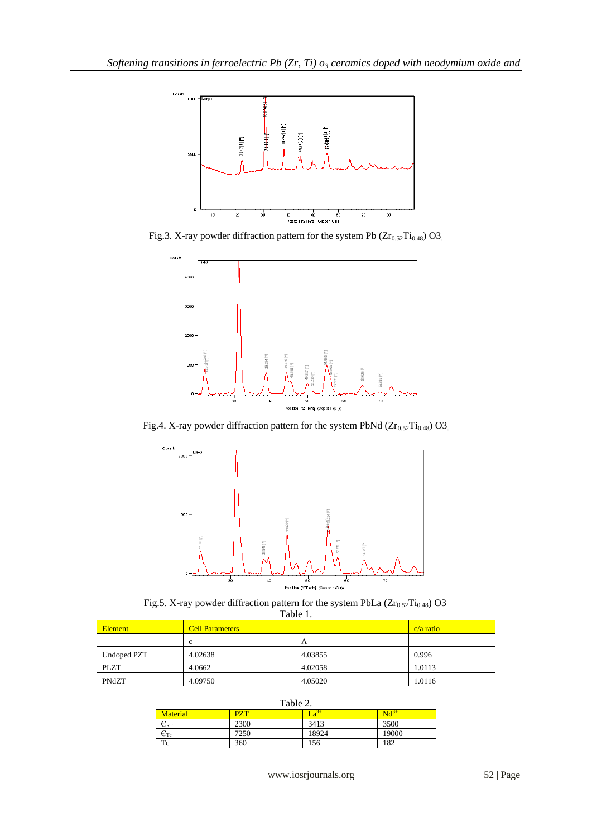

Fig.3. X-ray powder diffraction pattern for the system Pb  $(Zr_{0.52}Ti_{0.48})$  O3.



Fig.4. X-ray powder diffraction pattern for the system PbNd  $(Zr_{0.52}Ti_{0.48})$  O3.



Fig.5. X-ray powder diffraction pattern for the system PbLa  $(Zr_{0.52}Ti_{0.48})$  O3. Table 1.

| Element     | <b>Cell Parameters</b> |         | $c/a$ ratio |
|-------------|------------------------|---------|-------------|
|             | c.                     |         |             |
| Undoped PZT | 4.02638                | 4.03855 | 0.996       |
| <b>PLZT</b> | 4.0662                 | 4.02058 | 1.0113      |
| PNdZT       | 4.09750                | 4.05020 | 1.0116      |

| Table 2.               |      |       |       |  |  |
|------------------------|------|-------|-------|--|--|
| Material               | P7.T |       |       |  |  |
| $\epsilon_{\text{RT}}$ | 2300 | 3413  | 3500  |  |  |
| $\epsilon_{\rm Te}$    | 7250 | 18924 | 19000 |  |  |
| Tc                     | 360  | 156   | 182   |  |  |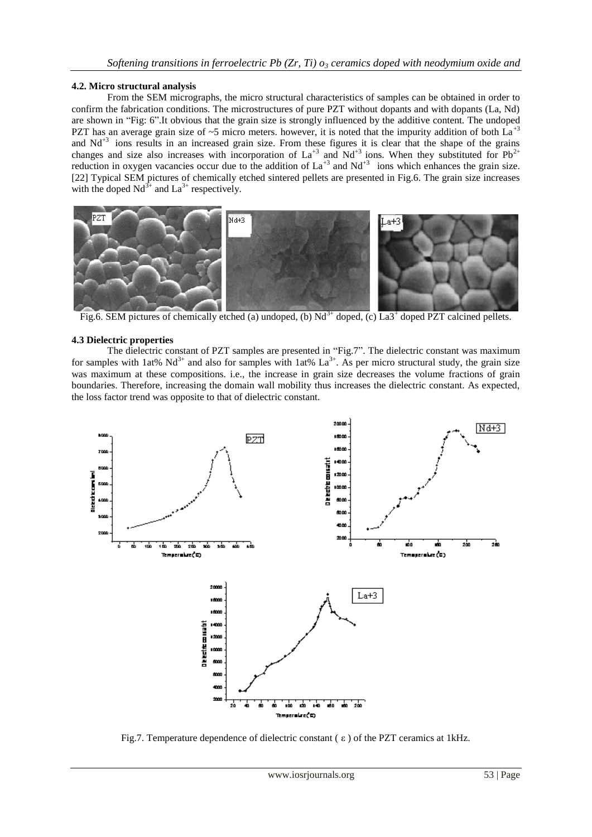## **4.2. Micro structural analysis**

From the SEM micrographs, the micro structural characteristics of samples can be obtained in order to confirm the fabrication conditions. The microstructures of pure PZT without dopants and with dopants (La, Nd) are shown in "Fig: 6".It obvious that the grain size is strongly influenced by the additive content. The undoped PZT has an average grain size of  $\sim$ 5 micro meters. however, it is noted that the impurity addition of both La<sup>+3</sup> and  $Nd<sup>+3</sup>$  ions results in an increased grain size. From these figures it is clear that the shape of the grains changes and size also increases with incorporation of  $La^{+3}$  and  $Nd^{+3}$  ions. When they substituted for  $Pb^{2+}$ reduction in oxygen vacancies occur due to the addition of  $La^{+3}$  and  $Nd^{+3}$  ions which enhances the grain size. [22] Typical SEM pictures of chemically etched sintered pellets are presented in Fig.6. The grain size increases with the doped  $Nd^{3+}$  and  $La^{3+}$  respectively.



Fig.6. SEM pictures of chemically etched (a) undoped, (b) Nd<sup>3+</sup> doped, (c) La3<sup>+</sup> doped PZT calcined pellets.

#### **4.3 Dielectric properties**

The dielectric constant of PZT samples are presented in "Fig.7". The dielectric constant was maximum for samples with 1at%  $Nd^{3+}$  and also for samples with 1at% La<sup>3+</sup>. As per micro structural study, the grain size was maximum at these compositions. i.e., the increase in grain size decreases the volume fractions of grain boundaries. Therefore, increasing the domain wall mobility thus increases the dielectric constant. As expected, the loss factor trend was opposite to that of dielectric constant.



Fig.7. Temperature dependence of dielectric constant  $( \varepsilon )$  of the PZT ceramics at 1kHz.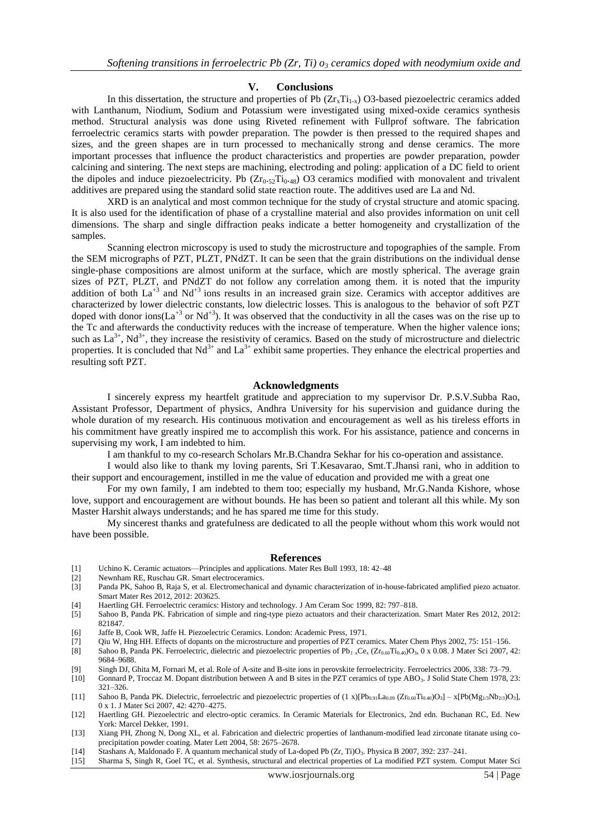#### **V. Conclusions**

In this dissertation, the structure and properties of Pb  $(Zr_xTi_{1-x})$  O3-based piezoelectric ceramics added with Lanthanum, Niodium, Sodium and Potassium were investigated using mixed-oxide ceramics synthesis method. Structural analysis was done using Riveted refinement with Fullprof software. The fabrication ferroelectric ceramics starts with powder preparation. The powder is then pressed to the required shapes and sizes, and the green shapes are in turn processed to mechanically strong and dense ceramics. The more important processes that influence the product characteristics and properties are powder preparation, powder calcining and sintering. The next steps are machining, electroding and poling: application of a DC field to orient the dipoles and induce piezoelectricity. Pb  $(Zr_{0.52}Ti_{0.48})$  O3 ceramics modified with monovalent and trivalent additives are prepared using the standard solid state reaction route. The additives used are La and Nd.

XRD is an analytical and most common technique for the study of crystal structure and atomic spacing. It is also used for the identification of phase of a crystalline material and also provides information on unit cell dimensions. The sharp and single diffraction peaks indicate a better homogeneity and crystallization of the samples.

Scanning electron microscopy is used to study the microstructure and topographies of the sample. From the SEM micrographs of PZT, PLZT, PNdZT. It can be seen that the grain distributions on the individual dense single-phase compositions are almost uniform at the surface, which are mostly spherical. The average grain sizes of PZT, PLZT, and PNdZT do not follow any correlation among them. it is noted that the impurity addition of both  $La^{+3}$  and  $Nd^{+3}$  ions results in an increased grain size. Ceramics with acceptor additives are characterized by lower dielectric constants, low dielectric losses. This is analogous to the behavior of soft PZT doped with donor ions(La<sup>+3</sup> or Nd<sup>+3</sup>). It was observed that the conductivity in all the cases was on the rise up to the Tc and afterwards the conductivity reduces with the increase of temperature. When the higher valence ions; such as  $La^{3+}$ , Nd<sup>3+</sup>, they increase the resistivity of ceramics. Based on the study of microstructure and dielectric properties. It is concluded that  $Nd^{3+}$  and  $La^{3+}$  exhibit same properties. They enhance the electrical properties and resulting soft PZT.

#### **Acknowledgments**

I sincerely express my heartfelt gratitude and appreciation to my supervisor Dr. P.S.V.Subba Rao, Assistant Professor, Department of physics, Andhra University for his supervision and guidance during the whole duration of my research. His continuous motivation and encouragement as well as his tireless efforts in his commitment have greatly inspired me to accomplish this work. For his assistance, patience and concerns in supervising my work, I am indebted to him.

I am thankful to my co-research Scholars Mr.B.Chandra Sekhar for his co-operation and assistance.

I would also like to thank my loving parents, Sri T.Kesavarao, Smt.T.Jhansi rani, who in addition to their support and encouragement, instilled in me the value of education and provided me with a great one

For my own family, I am indebted to them too; especially my husband, Mr.G.Nanda Kishore, whose love, support and encouragement are without bounds. He has been so patient and tolerant all this while. My son Master Harshit always understands; and he has spared me time for this study.

My sincerest thanks and gratefulness are dedicated to all the people without whom this work would not have been possible.

#### **References**

- [1] Uchino K. Ceramic actuators—Principles and applications. Mater Res Bull 1993, 18: 42–48
- Newnham RE, Ruschau GR. Smart electroceramics.
- [3] Panda PK, Sahoo B, Raja S, et al. Electromechanical and dynamic characterization of in-house-fabricated amplified piezo actuator. Smart Mater Res 2012, 2012: 203625.
- [4] Haertling GH. Ferroelectric ceramics: History and technology. J Am Ceram Soc 1999, 82: 797–818.
- [5] Sahoo B, Panda PK. Fabrication of simple and ring-type piezo actuators and their characterization. Smart Mater Res 2012, 2012: 821847.
- [6] Jaffe B, Cook WR, Jaffe H. Piezoelectric Ceramics. London: Academic Press, 1971.
- [7] Qiu W, Hng HH. Effects of dopants on the microstructure and properties of PZT ceramics. Mater Chem Phys 2002, 75: 151–156.
- [8] Sahoo B, Panda PK. Ferroelectric, dielectric and piezoelectric properties of Pb<sub>1</sub> xCe<sub>x</sub> ( $Zr_{0.60}Ti_{0.40}O_3$ , 0 x 0.08. J Mater Sci 2007, 42: 9684–9688.
- [9] Singh DJ, Ghita M, Fornari M, et al. Role of A-site and B-site ions in perovskite ferroelectricity. Ferroelectrics 2006, 338: 73–79.<br>[10] Gonnard P, Troccaz M. Dopant distribution between A and B sites in the PZT ceram
- Gonnard P, Troccaz M. Dopant distribution between A and B sites in the PZT ceramics of type ABO<sub>3</sub>. J Solid State Chem 1978, 23: 321–326.
- [11] Sahoo B, Panda PK. Dielectric, ferroelectric and piezoelectric properties of  $(1 x)[Pb_{0.91}La_{0.09} (Zr_{0.60}Ti_{0.40}O_3] x[Pb(Mg_{1/3}Nb_{2/3}O_3],$ 0 x 1. J Mater Sci 2007, 42: 4270–4275.
- [12] Haertling GH. Piezoelectric and electro-optic ceramics. In Ceramic Materials for Electronics, 2nd edn. Buchanan RC, Ed. New York: Marcel Dekker, 1991.
- [13] Xiang PH, Zhong N, Dong XL, et al. Fabrication and dielectric properties of lanthanum-modified lead zirconate titanate using coprecipitation powder coating. Mater Lett 2004, 58: 2675–2678.
- [14] Stashans A, Maldonado F. A quantum mechanical study of La-doped Pb (Zr, Ti)O<sub>3</sub>. Physica B 2007, 392: 237–241.
- [15] Sharma S, Singh R, Goel TC, et al. Synthesis, structural and electrical properties of La modified PZT system. Comput Mater Sci